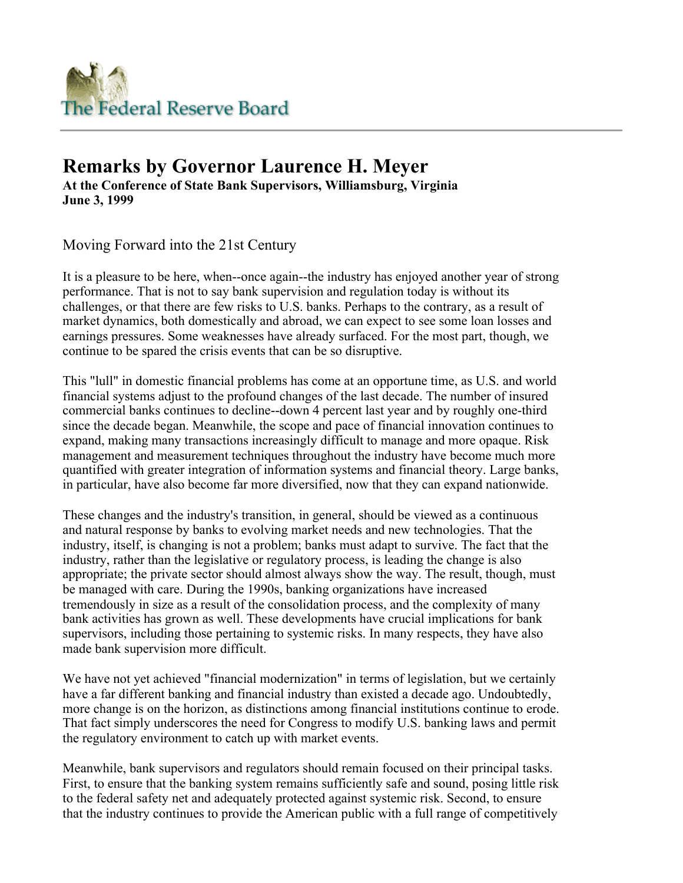

# **Remarks by Governor Laurence H. Meyer At the Conference of State Bank Supervisors, Williamsburg, Virginia June 3, 1999**

Moving Forward into the 21st Century

It is a pleasure to be here, when--once again--the industry has enjoyed another year of strong performance. That is not to say bank supervision and regulation today is without its challenges, or that there are few risks to U.S. banks. Perhaps to the contrary, as a result of market dynamics, both domestically and abroad, we can expect to see some loan losses and earnings pressures. Some weaknesses have already surfaced. For the most part, though, we continue to be spared the crisis events that can be so disruptive.

This "lull" in domestic financial problems has come at an opportune time, as U.S. and world financial systems adjust to the profound changes of the last decade. The number of insured commercial banks continues to decline--down 4 percent last year and by roughly one-third since the decade began. Meanwhile, the scope and pace of financial innovation continues to expand, making many transactions increasingly difficult to manage and more opaque. Risk management and measurement techniques throughout the industry have become much more quantified with greater integration of information systems and financial theory. Large banks, in particular, have also become far more diversified, now that they can expand nationwide.

These changes and the industry's transition, in general, should be viewed as a continuous and natural response by banks to evolving market needs and new technologies. That the industry, itself, is changing is not a problem; banks must adapt to survive. The fact that the industry, rather than the legislative or regulatory process, is leading the change is also appropriate; the private sector should almost always show the way. The result, though, must be managed with care. During the 1990s, banking organizations have increased tremendously in size as a result of the consolidation process, and the complexity of many bank activities has grown as well. These developments have crucial implications for bank supervisors, including those pertaining to systemic risks. In many respects, they have also made bank supervision more difficult.

We have not yet achieved "financial modernization" in terms of legislation, but we certainly have a far different banking and financial industry than existed a decade ago. Undoubtedly, more change is on the horizon, as distinctions among financial institutions continue to erode. That fact simply underscores the need for Congress to modify U.S. banking laws and permit the regulatory environment to catch up with market events.

Meanwhile, bank supervisors and regulators should remain focused on their principal tasks. First, to ensure that the banking system remains sufficiently safe and sound, posing little risk to the federal safety net and adequately protected against systemic risk. Second, to ensure that the industry continues to provide the American public with a full range of competitively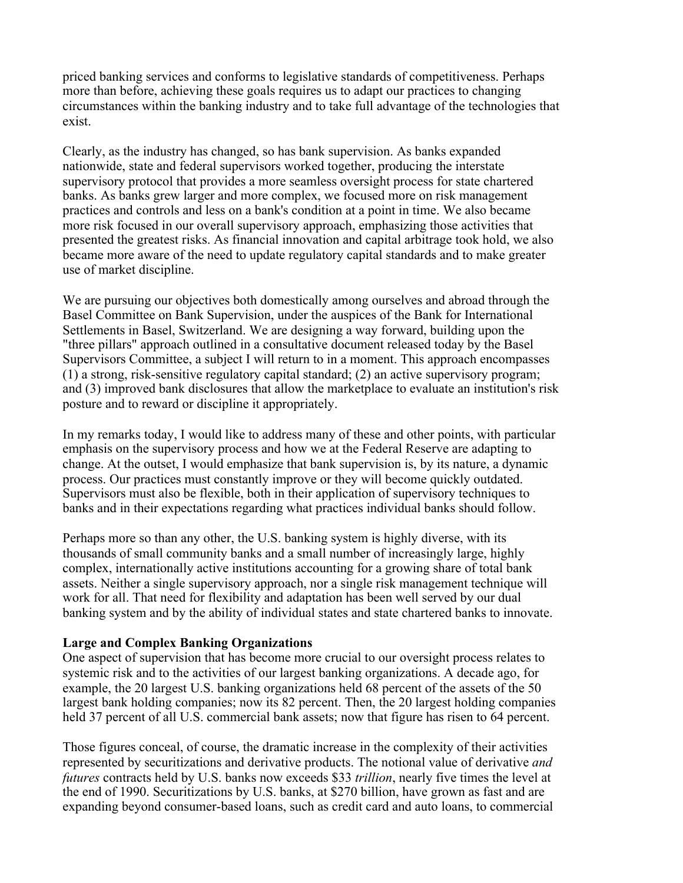priced banking services and conforms to legislative standards of competitiveness. Perhaps more than before, achieving these goals requires us to adapt our practices to changing circumstances within the banking industry and to take full advantage of the technologies that exist.

Clearly, as the industry has changed, so has bank supervision. As banks expanded nationwide, state and federal supervisors worked together, producing the interstate supervisory protocol that provides a more seamless oversight process for state chartered banks. As banks grew larger and more complex, we focused more on risk management practices and controls and less on a bank's condition at a point in time. We also became more risk focused in our overall supervisory approach, emphasizing those activities that presented the greatest risks. As financial innovation and capital arbitrage took hold, we also became more aware of the need to update regulatory capital standards and to make greater use of market discipline.

We are pursuing our objectives both domestically among ourselves and abroad through the Basel Committee on Bank Supervision, under the auspices of the Bank for International Settlements in Basel, Switzerland. We are designing a way forward, building upon the "three pillars" approach outlined in a consultative document released today by the Basel Supervisors Committee, a subject I will return to in a moment. This approach encompasses (1) a strong, risk-sensitive regulatory capital standard; (2) an active supervisory program; and (3) improved bank disclosures that allow the marketplace to evaluate an institution's risk posture and to reward or discipline it appropriately.

In my remarks today, I would like to address many of these and other points, with particular emphasis on the supervisory process and how we at the Federal Reserve are adapting to change. At the outset, I would emphasize that bank supervision is, by its nature, a dynamic process. Our practices must constantly improve or they will become quickly outdated. Supervisors must also be flexible, both in their application of supervisory techniques to banks and in their expectations regarding what practices individual banks should follow.

Perhaps more so than any other, the U.S. banking system is highly diverse, with its thousands of small community banks and a small number of increasingly large, highly complex, internationally active institutions accounting for a growing share of total bank assets. Neither a single supervisory approach, nor a single risk management technique will work for all. That need for flexibility and adaptation has been well served by our dual banking system and by the ability of individual states and state chartered banks to innovate.

## **Large and Complex Banking Organizations**

One aspect of supervision that has become more crucial to our oversight process relates to systemic risk and to the activities of our largest banking organizations. A decade ago, for example, the 20 largest U.S. banking organizations held 68 percent of the assets of the 50 largest bank holding companies; now its 82 percent. Then, the 20 largest holding companies held 37 percent of all U.S. commercial bank assets; now that figure has risen to 64 percent.

Those figures conceal, of course, the dramatic increase in the complexity of their activities represented by securitizations and derivative products. The notional value of derivative *and futures* contracts held by U.S. banks now exceeds \$33 *trillion*, nearly five times the level at the end of 1990. Securitizations by U.S. banks, at \$270 billion, have grown as fast and are expanding beyond consumer-based loans, such as credit card and auto loans, to commercial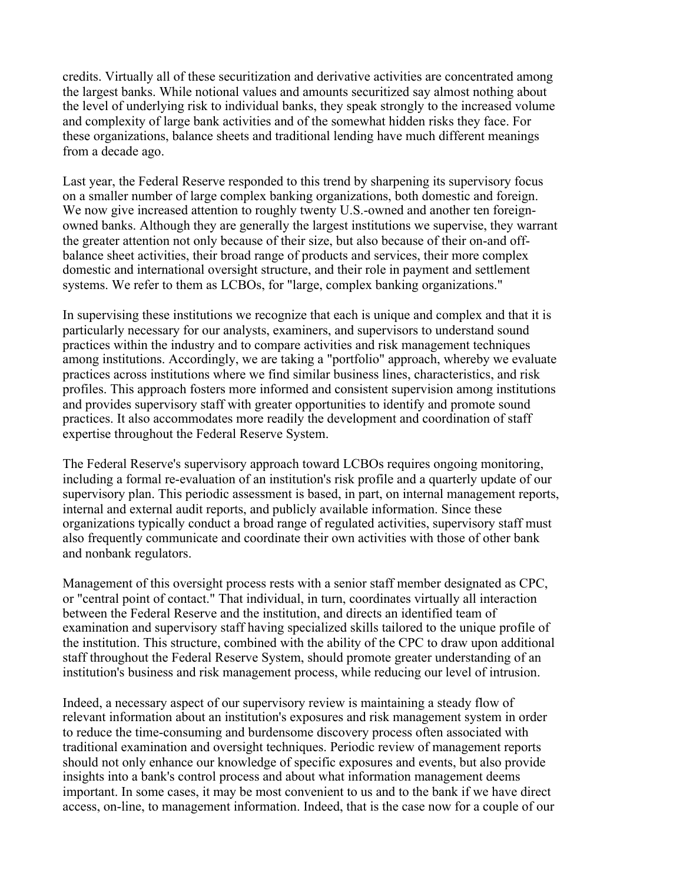credits. Virtually all of these securitization and derivative activities are concentrated among the largest banks. While notional values and amounts securitized say almost nothing about the level of underlying risk to individual banks, they speak strongly to the increased volume and complexity of large bank activities and of the somewhat hidden risks they face. For these organizations, balance sheets and traditional lending have much different meanings from a decade ago.

Last year, the Federal Reserve responded to this trend by sharpening its supervisory focus on a smaller number of large complex banking organizations, both domestic and foreign. We now give increased attention to roughly twenty U.S.-owned and another ten foreignowned banks. Although they are generally the largest institutions we supervise, they warrant the greater attention not only because of their size, but also because of their on-and offbalance sheet activities, their broad range of products and services, their more complex domestic and international oversight structure, and their role in payment and settlement systems. We refer to them as LCBOs, for "large, complex banking organizations."

In supervising these institutions we recognize that each is unique and complex and that it is particularly necessary for our analysts, examiners, and supervisors to understand sound practices within the industry and to compare activities and risk management techniques among institutions. Accordingly, we are taking a "portfolio" approach, whereby we evaluate practices across institutions where we find similar business lines, characteristics, and risk profiles. This approach fosters more informed and consistent supervision among institutions and provides supervisory staff with greater opportunities to identify and promote sound practices. It also accommodates more readily the development and coordination of staff expertise throughout the Federal Reserve System.

The Federal Reserve's supervisory approach toward LCBOs requires ongoing monitoring, including a formal re-evaluation of an institution's risk profile and a quarterly update of our supervisory plan. This periodic assessment is based, in part, on internal management reports, internal and external audit reports, and publicly available information. Since these organizations typically conduct a broad range of regulated activities, supervisory staff must also frequently communicate and coordinate their own activities with those of other bank and nonbank regulators.

Management of this oversight process rests with a senior staff member designated as CPC, or "central point of contact." That individual, in turn, coordinates virtually all interaction between the Federal Reserve and the institution, and directs an identified team of examination and supervisory staff having specialized skills tailored to the unique profile of the institution. This structure, combined with the ability of the CPC to draw upon additional staff throughout the Federal Reserve System, should promote greater understanding of an institution's business and risk management process, while reducing our level of intrusion.

Indeed, a necessary aspect of our supervisory review is maintaining a steady flow of relevant information about an institution's exposures and risk management system in order to reduce the time-consuming and burdensome discovery process often associated with traditional examination and oversight techniques. Periodic review of management reports should not only enhance our knowledge of specific exposures and events, but also provide insights into a bank's control process and about what information management deems important. In some cases, it may be most convenient to us and to the bank if we have direct access, on-line, to management information. Indeed, that is the case now for a couple of our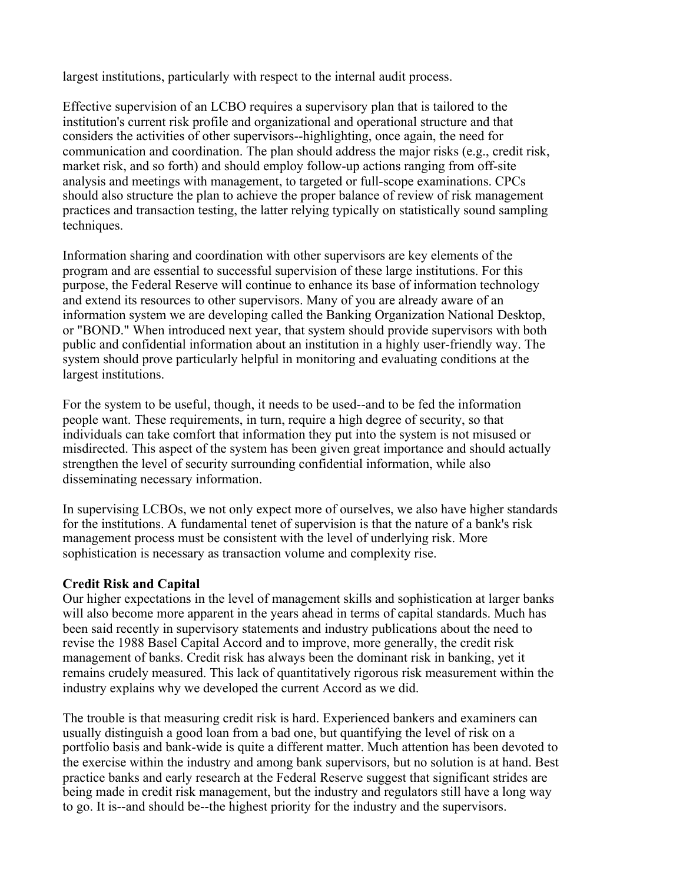largest institutions, particularly with respect to the internal audit process.

Effective supervision of an LCBO requires a supervisory plan that is tailored to the institution's current risk profile and organizational and operational structure and that considers the activities of other supervisors--highlighting, once again, the need for communication and coordination. The plan should address the major risks (e.g., credit risk, market risk, and so forth) and should employ follow-up actions ranging from off-site analysis and meetings with management, to targeted or full-scope examinations. CPCs should also structure the plan to achieve the proper balance of review of risk management practices and transaction testing, the latter relying typically on statistically sound sampling techniques.

Information sharing and coordination with other supervisors are key elements of the program and are essential to successful supervision of these large institutions. For this purpose, the Federal Reserve will continue to enhance its base of information technology and extend its resources to other supervisors. Many of you are already aware of an information system we are developing called the Banking Organization National Desktop, or "BOND." When introduced next year, that system should provide supervisors with both public and confidential information about an institution in a highly user-friendly way. The system should prove particularly helpful in monitoring and evaluating conditions at the largest institutions.

For the system to be useful, though, it needs to be used--and to be fed the information people want. These requirements, in turn, require a high degree of security, so that individuals can take comfort that information they put into the system is not misused or misdirected. This aspect of the system has been given great importance and should actually strengthen the level of security surrounding confidential information, while also disseminating necessary information.

In supervising LCBOs, we not only expect more of ourselves, we also have higher standards for the institutions. A fundamental tenet of supervision is that the nature of a bank's risk management process must be consistent with the level of underlying risk. More sophistication is necessary as transaction volume and complexity rise.

## **Credit Risk and Capital**

Our higher expectations in the level of management skills and sophistication at larger banks will also become more apparent in the years ahead in terms of capital standards. Much has been said recently in supervisory statements and industry publications about the need to revise the 1988 Basel Capital Accord and to improve, more generally, the credit risk management of banks. Credit risk has always been the dominant risk in banking, yet it remains crudely measured. This lack of quantitatively rigorous risk measurement within the industry explains why we developed the current Accord as we did.

The trouble is that measuring credit risk is hard. Experienced bankers and examiners can usually distinguish a good loan from a bad one, but quantifying the level of risk on a portfolio basis and bank-wide is quite a different matter. Much attention has been devoted to the exercise within the industry and among bank supervisors, but no solution is at hand. Best practice banks and early research at the Federal Reserve suggest that significant strides are being made in credit risk management, but the industry and regulators still have a long way to go. It is--and should be--the highest priority for the industry and the supervisors.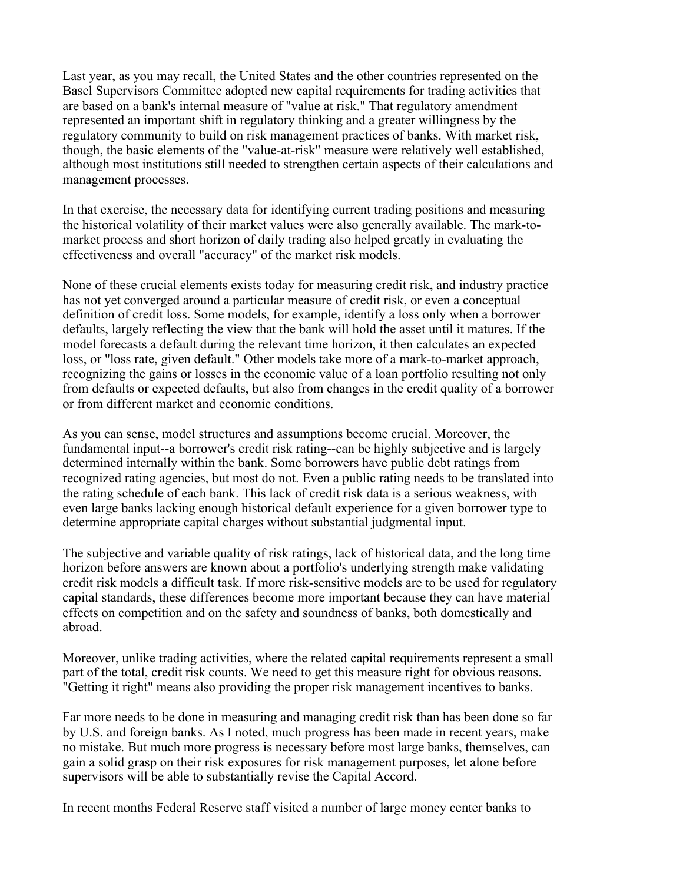Last year, as you may recall, the United States and the other countries represented on the Basel Supervisors Committee adopted new capital requirements for trading activities that are based on a bank's internal measure of "value at risk." That regulatory amendment represented an important shift in regulatory thinking and a greater willingness by the regulatory community to build on risk management practices of banks. With market risk, though, the basic elements of the "value-at-risk" measure were relatively well established, although most institutions still needed to strengthen certain aspects of their calculations and management processes.

In that exercise, the necessary data for identifying current trading positions and measuring the historical volatility of their market values were also generally available. The mark-tomarket process and short horizon of daily trading also helped greatly in evaluating the effectiveness and overall "accuracy" of the market risk models.

None of these crucial elements exists today for measuring credit risk, and industry practice has not yet converged around a particular measure of credit risk, or even a conceptual definition of credit loss. Some models, for example, identify a loss only when a borrower defaults, largely reflecting the view that the bank will hold the asset until it matures. If the model forecasts a default during the relevant time horizon, it then calculates an expected loss, or "loss rate, given default." Other models take more of a mark-to-market approach, recognizing the gains or losses in the economic value of a loan portfolio resulting not only from defaults or expected defaults, but also from changes in the credit quality of a borrower or from different market and economic conditions.

As you can sense, model structures and assumptions become crucial. Moreover, the fundamental input--a borrower's credit risk rating--can be highly subjective and is largely determined internally within the bank. Some borrowers have public debt ratings from recognized rating agencies, but most do not. Even a public rating needs to be translated into the rating schedule of each bank. This lack of credit risk data is a serious weakness, with even large banks lacking enough historical default experience for a given borrower type to determine appropriate capital charges without substantial judgmental input.

The subjective and variable quality of risk ratings, lack of historical data, and the long time horizon before answers are known about a portfolio's underlying strength make validating credit risk models a difficult task. If more risk-sensitive models are to be used for regulatory capital standards, these differences become more important because they can have material effects on competition and on the safety and soundness of banks, both domestically and abroad.

Moreover, unlike trading activities, where the related capital requirements represent a small part of the total, credit risk counts. We need to get this measure right for obvious reasons. "Getting it right" means also providing the proper risk management incentives to banks.

Far more needs to be done in measuring and managing credit risk than has been done so far by U.S. and foreign banks. As I noted, much progress has been made in recent years, make no mistake. But much more progress is necessary before most large banks, themselves, can gain a solid grasp on their risk exposures for risk management purposes, let alone before supervisors will be able to substantially revise the Capital Accord.

In recent months Federal Reserve staff visited a number of large money center banks to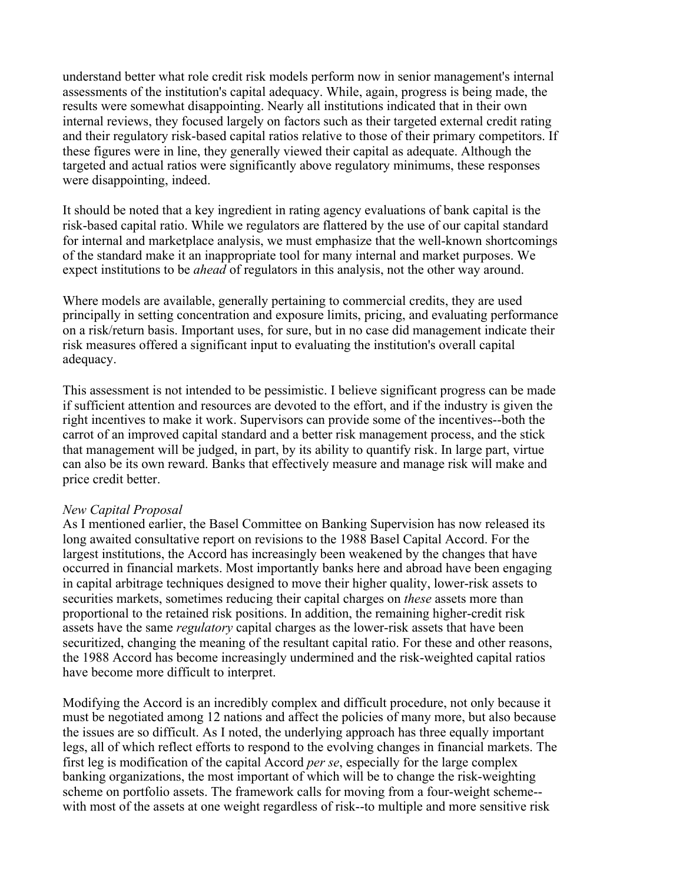understand better what role credit risk models perform now in senior management's internal assessments of the institution's capital adequacy. While, again, progress is being made, the results were somewhat disappointing. Nearly all institutions indicated that in their own internal reviews, they focused largely on factors such as their targeted external credit rating and their regulatory risk-based capital ratios relative to those of their primary competitors. If these figures were in line, they generally viewed their capital as adequate. Although the targeted and actual ratios were significantly above regulatory minimums, these responses were disappointing, indeed.

It should be noted that a key ingredient in rating agency evaluations of bank capital is the risk-based capital ratio. While we regulators are flattered by the use of our capital standard for internal and marketplace analysis, we must emphasize that the well-known shortcomings of the standard make it an inappropriate tool for many internal and market purposes. We expect institutions to be *ahead* of regulators in this analysis, not the other way around.

Where models are available, generally pertaining to commercial credits, they are used principally in setting concentration and exposure limits, pricing, and evaluating performance on a risk/return basis. Important uses, for sure, but in no case did management indicate their risk measures offered a significant input to evaluating the institution's overall capital adequacy.

This assessment is not intended to be pessimistic. I believe significant progress can be made if sufficient attention and resources are devoted to the effort, and if the industry is given the right incentives to make it work. Supervisors can provide some of the incentives--both the carrot of an improved capital standard and a better risk management process, and the stick that management will be judged, in part, by its ability to quantify risk. In large part, virtue can also be its own reward. Banks that effectively measure and manage risk will make and price credit better.

#### *New Capital Proposal*

As I mentioned earlier, the Basel Committee on Banking Supervision has now released its long awaited consultative report on revisions to the 1988 Basel Capital Accord. For the largest institutions, the Accord has increasingly been weakened by the changes that have occurred in financial markets. Most importantly banks here and abroad have been engaging in capital arbitrage techniques designed to move their higher quality, lower-risk assets to securities markets, sometimes reducing their capital charges on *these* assets more than proportional to the retained risk positions. In addition, the remaining higher-credit risk assets have the same *regulatory* capital charges as the lower-risk assets that have been securitized, changing the meaning of the resultant capital ratio. For these and other reasons, the 1988 Accord has become increasingly undermined and the risk-weighted capital ratios have become more difficult to interpret.

Modifying the Accord is an incredibly complex and difficult procedure, not only because it must be negotiated among 12 nations and affect the policies of many more, but also because the issues are so difficult. As I noted, the underlying approach has three equally important legs, all of which reflect efforts to respond to the evolving changes in financial markets. The first leg is modification of the capital Accord *per se*, especially for the large complex banking organizations, the most important of which will be to change the risk-weighting scheme on portfolio assets. The framework calls for moving from a four-weight scheme- with most of the assets at one weight regardless of risk--to multiple and more sensitive risk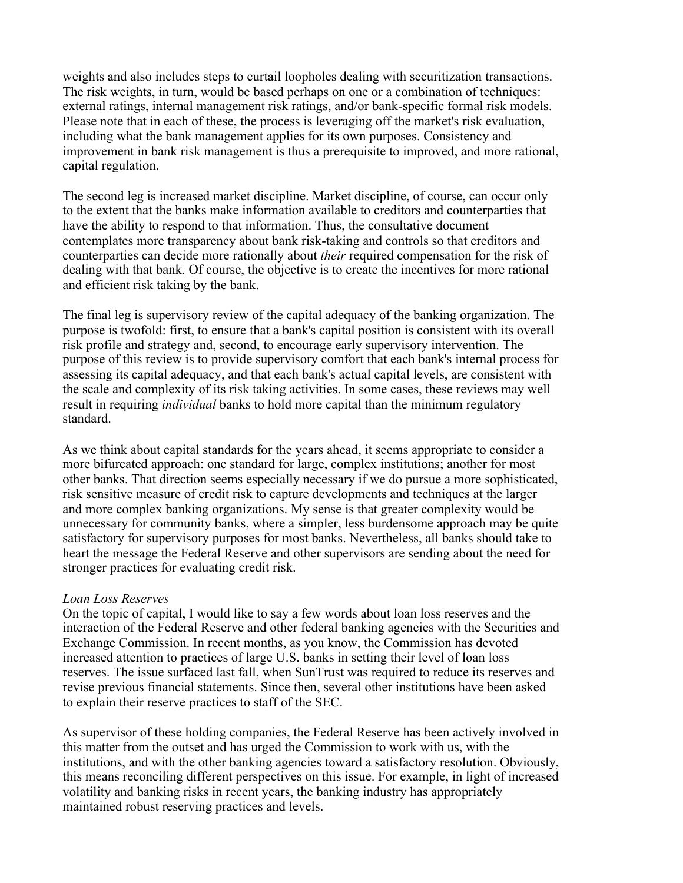weights and also includes steps to curtail loopholes dealing with securitization transactions. The risk weights, in turn, would be based perhaps on one or a combination of techniques: external ratings, internal management risk ratings, and/or bank-specific formal risk models. Please note that in each of these, the process is leveraging off the market's risk evaluation, including what the bank management applies for its own purposes. Consistency and improvement in bank risk management is thus a prerequisite to improved, and more rational, capital regulation.

The second leg is increased market discipline. Market discipline, of course, can occur only to the extent that the banks make information available to creditors and counterparties that have the ability to respond to that information. Thus, the consultative document contemplates more transparency about bank risk-taking and controls so that creditors and counterparties can decide more rationally about *their* required compensation for the risk of dealing with that bank. Of course, the objective is to create the incentives for more rational and efficient risk taking by the bank.

The final leg is supervisory review of the capital adequacy of the banking organization. The purpose is twofold: first, to ensure that a bank's capital position is consistent with its overall risk profile and strategy and, second, to encourage early supervisory intervention. The purpose of this review is to provide supervisory comfort that each bank's internal process for assessing its capital adequacy, and that each bank's actual capital levels, are consistent with the scale and complexity of its risk taking activities. In some cases, these reviews may well result in requiring *individual* banks to hold more capital than the minimum regulatory standard.

As we think about capital standards for the years ahead, it seems appropriate to consider a more bifurcated approach: one standard for large, complex institutions; another for most other banks. That direction seems especially necessary if we do pursue a more sophisticated, risk sensitive measure of credit risk to capture developments and techniques at the larger and more complex banking organizations. My sense is that greater complexity would be unnecessary for community banks, where a simpler, less burdensome approach may be quite satisfactory for supervisory purposes for most banks. Nevertheless, all banks should take to heart the message the Federal Reserve and other supervisors are sending about the need for stronger practices for evaluating credit risk.

#### *Loan Loss Reserves*

On the topic of capital, I would like to say a few words about loan loss reserves and the interaction of the Federal Reserve and other federal banking agencies with the Securities and Exchange Commission. In recent months, as you know, the Commission has devoted increased attention to practices of large U.S. banks in setting their level of loan loss reserves. The issue surfaced last fall, when SunTrust was required to reduce its reserves and revise previous financial statements. Since then, several other institutions have been asked to explain their reserve practices to staff of the SEC.

As supervisor of these holding companies, the Federal Reserve has been actively involved in this matter from the outset and has urged the Commission to work with us, with the institutions, and with the other banking agencies toward a satisfactory resolution. Obviously, this means reconciling different perspectives on this issue. For example, in light of increased volatility and banking risks in recent years, the banking industry has appropriately maintained robust reserving practices and levels.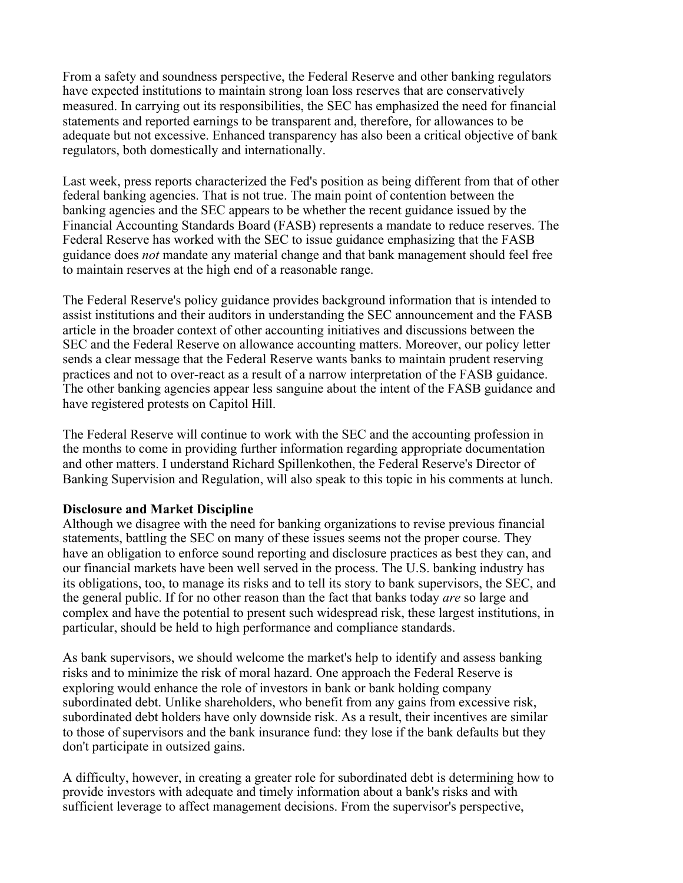From a safety and soundness perspective, the Federal Reserve and other banking regulators have expected institutions to maintain strong loan loss reserves that are conservatively measured. In carrying out its responsibilities, the SEC has emphasized the need for financial statements and reported earnings to be transparent and, therefore, for allowances to be adequate but not excessive. Enhanced transparency has also been a critical objective of bank regulators, both domestically and internationally.

Last week, press reports characterized the Fed's position as being different from that of other federal banking agencies. That is not true. The main point of contention between the banking agencies and the SEC appears to be whether the recent guidance issued by the Financial Accounting Standards Board (FASB) represents a mandate to reduce reserves. The Federal Reserve has worked with the SEC to issue guidance emphasizing that the FASB guidance does *not* mandate any material change and that bank management should feel free to maintain reserves at the high end of a reasonable range.

The Federal Reserve's policy guidance provides background information that is intended to assist institutions and their auditors in understanding the SEC announcement and the FASB article in the broader context of other accounting initiatives and discussions between the SEC and the Federal Reserve on allowance accounting matters. Moreover, our policy letter sends a clear message that the Federal Reserve wants banks to maintain prudent reserving practices and not to over-react as a result of a narrow interpretation of the FASB guidance. The other banking agencies appear less sanguine about the intent of the FASB guidance and have registered protests on Capitol Hill.

The Federal Reserve will continue to work with the SEC and the accounting profession in the months to come in providing further information regarding appropriate documentation and other matters. I understand Richard Spillenkothen, the Federal Reserve's Director of Banking Supervision and Regulation, will also speak to this topic in his comments at lunch.

## **Disclosure and Market Discipline**

Although we disagree with the need for banking organizations to revise previous financial statements, battling the SEC on many of these issues seems not the proper course. They have an obligation to enforce sound reporting and disclosure practices as best they can, and our financial markets have been well served in the process. The U.S. banking industry has its obligations, too, to manage its risks and to tell its story to bank supervisors, the SEC, and the general public. If for no other reason than the fact that banks today *are* so large and complex and have the potential to present such widespread risk, these largest institutions, in particular, should be held to high performance and compliance standards.

As bank supervisors, we should welcome the market's help to identify and assess banking risks and to minimize the risk of moral hazard. One approach the Federal Reserve is exploring would enhance the role of investors in bank or bank holding company subordinated debt. Unlike shareholders, who benefit from any gains from excessive risk, subordinated debt holders have only downside risk. As a result, their incentives are similar to those of supervisors and the bank insurance fund: they lose if the bank defaults but they don't participate in outsized gains.

A difficulty, however, in creating a greater role for subordinated debt is determining how to provide investors with adequate and timely information about a bank's risks and with sufficient leverage to affect management decisions. From the supervisor's perspective,